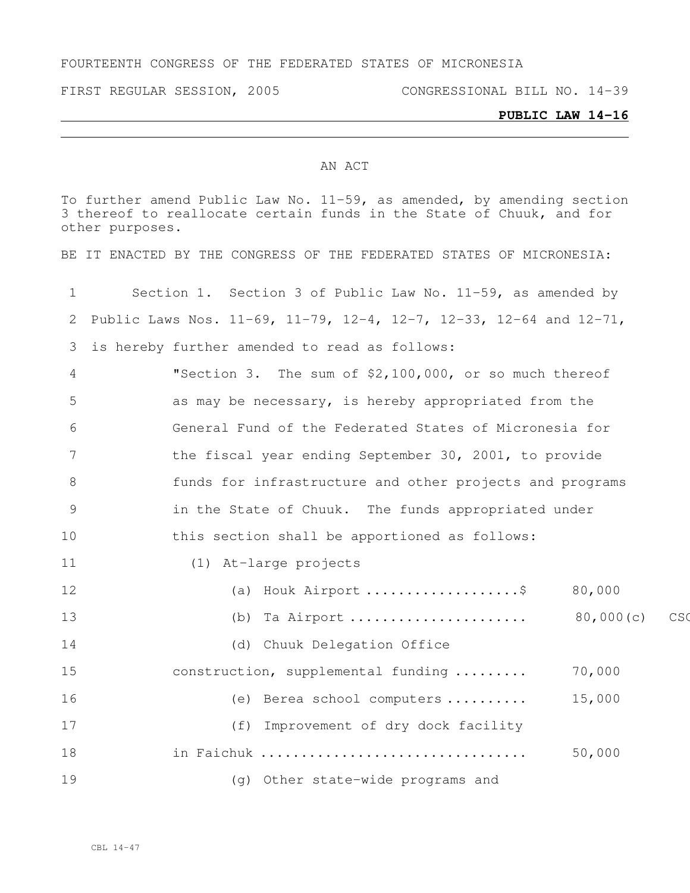#### FOURTEENTH CONGRESS OF THE FEDERATED STATES OF MICRONESIA

FIRST REGULAR SESSION, 2005 CONGRESSIONAL BILL NO. 14-39

#### **PUBLIC LAW 14-16**

#### AN ACT

To further amend Public Law No. 11-59, as amended, by amending section thereof to reallocate certain funds in the State of Chuuk, and for other purposes.

BE IT ENACTED BY THE CONGRESS OF THE FEDERATED STATES OF MICRONESIA:

| $\mathbf 1$   | Section 1. Section 3 of Public Law No. 11-59, as amended by                               |  |  |  |  |  |  |  |  |  |
|---------------|-------------------------------------------------------------------------------------------|--|--|--|--|--|--|--|--|--|
| 2             | Public Laws Nos. $11-69$ , $11-79$ , $12-4$ , $12-7$ , $12-33$ , $12-64$ and $12-71$ ,    |  |  |  |  |  |  |  |  |  |
| 3             | is hereby further amended to read as follows:                                             |  |  |  |  |  |  |  |  |  |
| 4             | "Section 3. The sum of \$2,100,000, or so much thereof                                    |  |  |  |  |  |  |  |  |  |
| 5             | as may be necessary, is hereby appropriated from the                                      |  |  |  |  |  |  |  |  |  |
| 6             | General Fund of the Federated States of Micronesia for                                    |  |  |  |  |  |  |  |  |  |
| 7             | the fiscal year ending September 30, 2001, to provide                                     |  |  |  |  |  |  |  |  |  |
| 8             | funds for infrastructure and other projects and programs                                  |  |  |  |  |  |  |  |  |  |
| $\mathcal{G}$ | in the State of Chuuk. The funds appropriated under                                       |  |  |  |  |  |  |  |  |  |
| 10            | this section shall be apportioned as follows:                                             |  |  |  |  |  |  |  |  |  |
| 11            | (1) At-large projects                                                                     |  |  |  |  |  |  |  |  |  |
| 12            | (a) Houk Airport \$ 80,000                                                                |  |  |  |  |  |  |  |  |  |
| 13            | 80,000(c)<br>(b) Ta Airport $\ldots \ldots \ldots \ldots \ldots \ldots$<br>C <sub>S</sub> |  |  |  |  |  |  |  |  |  |
| 14            | (d) Chuuk Delegation Office                                                               |  |  |  |  |  |  |  |  |  |
| 15            | 70,000<br>construction, supplemental funding                                              |  |  |  |  |  |  |  |  |  |
| 16            | 15,000<br>(e) Berea school computers                                                      |  |  |  |  |  |  |  |  |  |
| 17            | (f) Improvement of dry dock facility                                                      |  |  |  |  |  |  |  |  |  |
| 18            | 50,000<br>in Faichuk                                                                      |  |  |  |  |  |  |  |  |  |
| 19            | (g) Other state-wide programs and                                                         |  |  |  |  |  |  |  |  |  |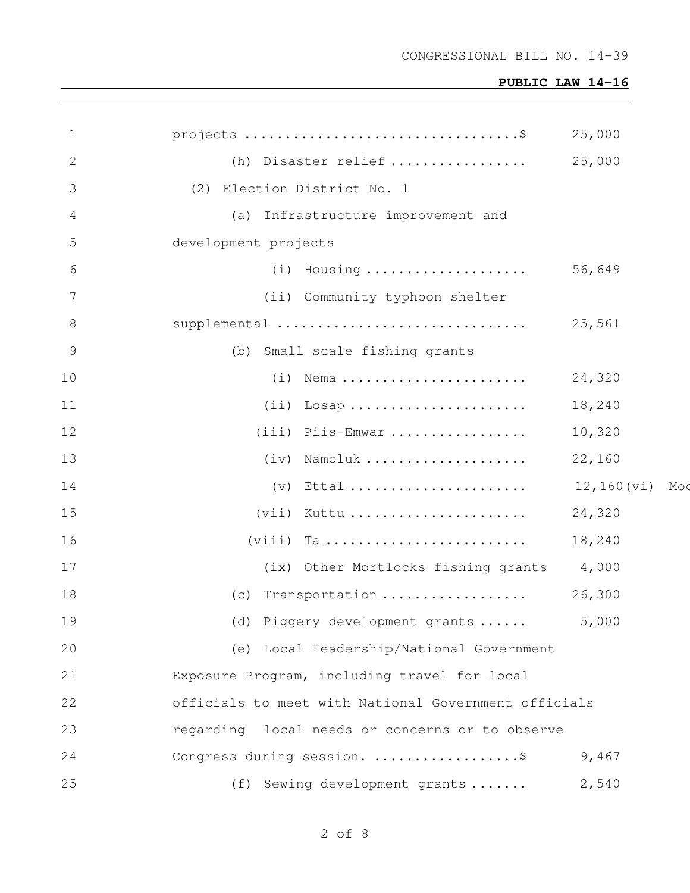| $\mathbf 1$    |                                                      | 25,000        |     |
|----------------|------------------------------------------------------|---------------|-----|
| 2              | (h) Disaster relief                                  | 25,000        |     |
| 3              | (2) Election District No. 1                          |               |     |
| 4              | (a) Infrastructure improvement and                   |               |     |
| 5              | development projects                                 |               |     |
| 6              | (i) Housing  56,649                                  |               |     |
| 7              | (ii) Community typhoon shelter                       |               |     |
| 8              | supplemental                                         | 25,561        |     |
| $\overline{9}$ | (b) Small scale fishing grants                       |               |     |
| 10             | $(i)$ Nema                                           | 24,320        |     |
| 11             | $(i)$ Losap                                          | 18,240        |     |
| 12             | (iii) Piis-Emwar                                     | 10,320        |     |
| 13             | (iv) Namoluk                                         | 22,160        |     |
| 14             | $(v)$ Ettal                                          | $12,160$ (vi) | Moc |
| 15             | $(vii)$ Kuttu                                        | 24,320        |     |
| 16             |                                                      | 18,240        |     |
| 17             | (ix) Other Mortlocks fishing grants 4,000            |               |     |
| 18             | (c) Transportation                                   | 26,300        |     |
| 19             | (d) Piggery development grants                       | 5,000         |     |
| 20             | (e) Local Leadership/National Government             |               |     |
| 21             | Exposure Program, including travel for local         |               |     |
| 22             | officials to meet with National Government officials |               |     |
| 23             | regarding local needs or concerns or to observe      |               |     |
| 24             | Congress during session. \$                          | 9,467         |     |
| 25             | (f) Sewing development grants                        | 2,540         |     |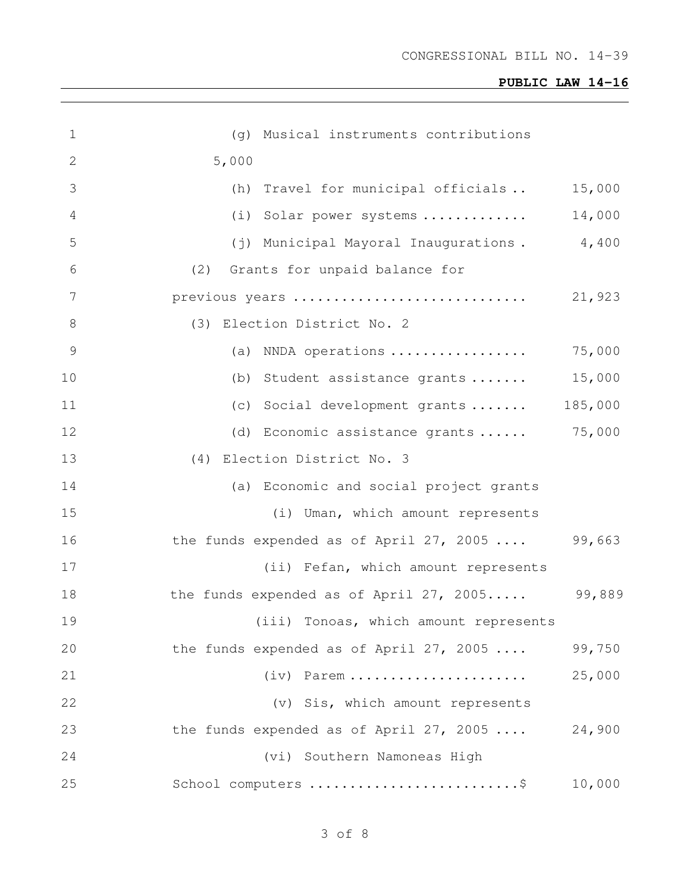| $\mathbf 1$    | Musical instruments contributions<br>(q)         |         |
|----------------|--------------------------------------------------|---------|
| 2              | 5,000                                            |         |
| 3              | (h) Travel for municipal officials               | 15,000  |
| 4              | (i) Solar power systems                          | 14,000  |
| 5              | (j) Municipal Mayoral Inaugurations.             | 4,400   |
| 6              | Grants for unpaid balance for<br>(2)             |         |
| 7              | previous years                                   | 21,923  |
| 8              | (3) Election District No. 2                      |         |
| $\overline{9}$ | (a) NNDA operations                              | 75,000  |
| 10             | (b) Student assistance grants                    | 15,000  |
| 11             | (c) Social development grants                    | 185,000 |
| 12             | (d) Economic assistance grants                   | 75,000  |
| 13             | (4) Election District No. 3                      |         |
| 14             | (a) Economic and social project grants           |         |
| 15             | (i) Uman, which amount represents                |         |
| 16             | the funds expended as of April 27, 2005 $\ldots$ | 99,663  |
| 17             | (ii) Fefan, which amount represents              |         |
| 18             | the funds expended as of April 27, 2005          | 99,889  |
| 19             | (iii) Tonoas, which amount represents            |         |
| 20             | the funds expended as of April 27, 2005          | 99,750  |
| 21             | $(iv)$ Parem                                     | 25,000  |
| 22             | (v) Sis, which amount represents                 |         |
| 23             | the funds expended as of April 27, 2005          | 24,900  |
| 24             | (vi) Southern Namoneas High                      |         |
| 25             | School computers \$                              | 10,000  |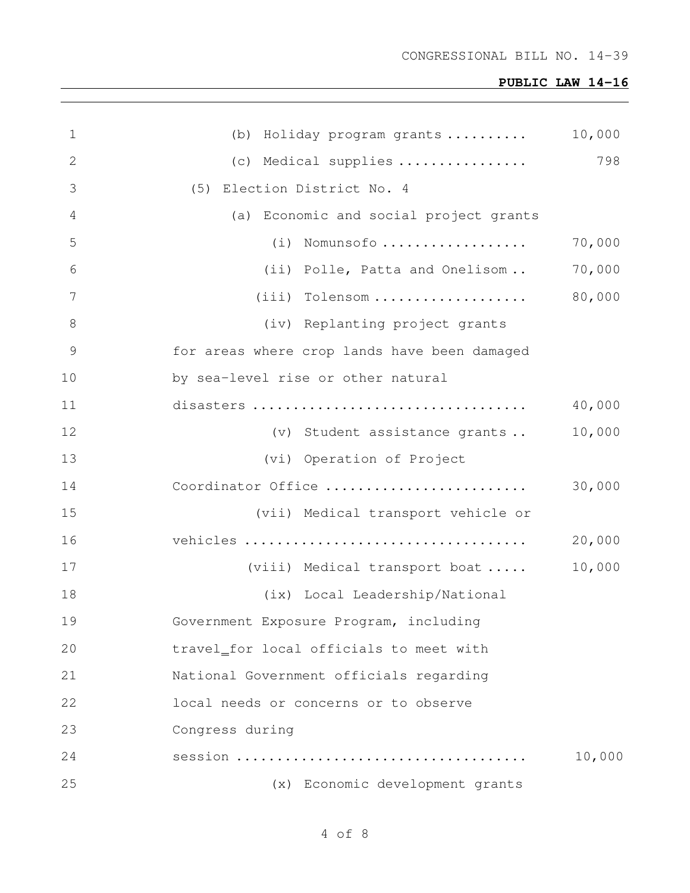| 1             | (b) Holiday program grants                   | 10,000 |
|---------------|----------------------------------------------|--------|
| 2             | (c) Medical supplies                         | 798    |
| 3             | (5) Election District No. 4                  |        |
| 4             | (a) Economic and social project grants       |        |
| 5             | (i) Nomunsofo                                | 70,000 |
| 6             | (ii) Polle, Patta and Onelisom               | 70,000 |
| 7             | (iii) Tolensom                               | 80,000 |
| 8             | (iv) Replanting project grants               |        |
| $\mathcal{G}$ | for areas where crop lands have been damaged |        |
| 10            | by sea-level rise or other natural           |        |
| 11            |                                              | 40,000 |
| 12            | (v) Student assistance grants                | 10,000 |
| 13            | (vi) Operation of Project                    |        |
| 14            | Coordinator Office                           | 30,000 |
| 15            | (vii) Medical transport vehicle or           |        |
| 16            |                                              | 20,000 |
| 17            | (viii) Medical transport boat                | 10,000 |
| 18            | (ix) Local Leadership/National               |        |
| 19            | Government Exposure Program, including       |        |
| 20            | travel_for local officials to meet with      |        |
| 21            | National Government officials regarding      |        |
| 22            | local needs or concerns or to observe        |        |
| 23            | Congress during                              |        |
| 24            |                                              | 10,000 |
| 25            | (x) Economic development grants              |        |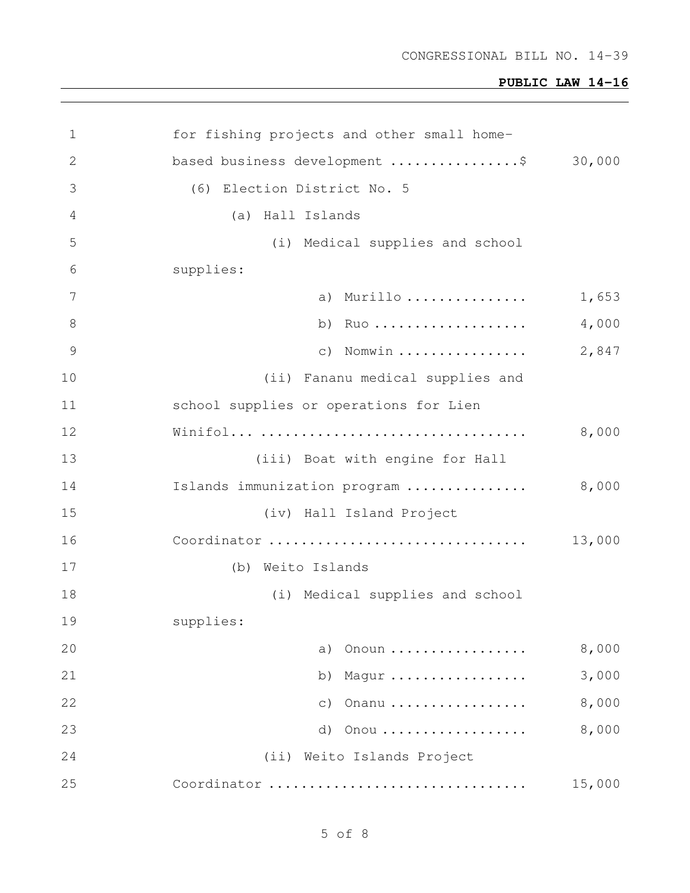| 1             | for fishing projects and other small home- |                                         |  |  |  |  |  |  |  |  |  |
|---------------|--------------------------------------------|-----------------------------------------|--|--|--|--|--|--|--|--|--|
| $\mathbf{2}$  |                                            | 30,000<br>based business development \$ |  |  |  |  |  |  |  |  |  |
| 3             | (6) Election District No. 5                |                                         |  |  |  |  |  |  |  |  |  |
| 4             | (a) Hall Islands                           |                                         |  |  |  |  |  |  |  |  |  |
| 5             | (i) Medical supplies and school            |                                         |  |  |  |  |  |  |  |  |  |
| 6             | supplies:                                  |                                         |  |  |  |  |  |  |  |  |  |
| 7             | a) Murillo                                 | 1,653                                   |  |  |  |  |  |  |  |  |  |
| 8             | b) $RuO$                                   | 4,000                                   |  |  |  |  |  |  |  |  |  |
| $\mathcal{G}$ | $c)$ Nomwin                                | 2,847                                   |  |  |  |  |  |  |  |  |  |
| 10            | (ii) Fananu medical supplies and           |                                         |  |  |  |  |  |  |  |  |  |
| 11            | school supplies or operations for Lien     |                                         |  |  |  |  |  |  |  |  |  |
| 12            |                                            | 8,000                                   |  |  |  |  |  |  |  |  |  |
| 13            | (iii) Boat with engine for Hall            |                                         |  |  |  |  |  |  |  |  |  |
| 14            | Islands immunization program               | 8,000                                   |  |  |  |  |  |  |  |  |  |
| 15            | (iv) Hall Island Project                   |                                         |  |  |  |  |  |  |  |  |  |
| 16            | Coordinator                                | 13,000                                  |  |  |  |  |  |  |  |  |  |
| 17            | (b) Weito Islands                          |                                         |  |  |  |  |  |  |  |  |  |
| 18            | (i) Medical supplies and school            |                                         |  |  |  |  |  |  |  |  |  |
| 19            | supplies:                                  |                                         |  |  |  |  |  |  |  |  |  |
| 20            | Onoun<br>a)                                | 8,000                                   |  |  |  |  |  |  |  |  |  |
| 21            | b)<br>Magur                                | 3,000                                   |  |  |  |  |  |  |  |  |  |
| 22            | Onanu<br>$\circ$ )                         | 8,000                                   |  |  |  |  |  |  |  |  |  |
| 23            | d)<br>Onou                                 | 8,000                                   |  |  |  |  |  |  |  |  |  |
| 24            | (ii) Weito Islands Project                 |                                         |  |  |  |  |  |  |  |  |  |
| 25            | Coordinator                                | 15,000                                  |  |  |  |  |  |  |  |  |  |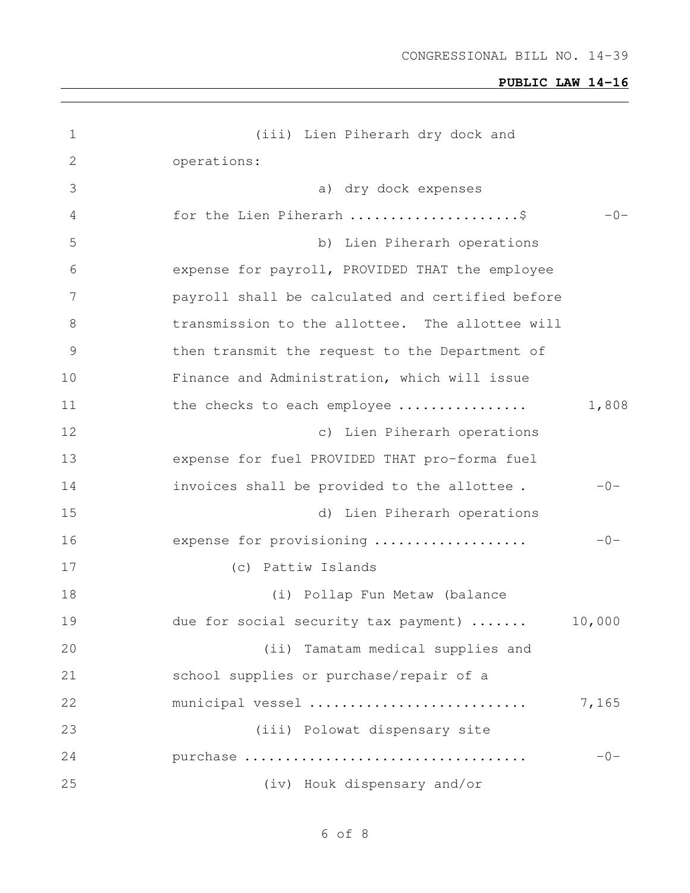| $\mathbf 1$   | (iii) Lien Piherarh dry dock and                 |        |
|---------------|--------------------------------------------------|--------|
| $\mathbf{2}$  | operations:                                      |        |
| 3             | a) dry dock expenses                             |        |
| 4             | for the Lien Piherarh \$                         | $-0-$  |
| 5             | b) Lien Piherarh operations                      |        |
| 6             | expense for payroll, PROVIDED THAT the employee  |        |
| 7             | payroll shall be calculated and certified before |        |
| $\,8\,$       | transmission to the allottee. The allottee will  |        |
| $\mathcal{G}$ | then transmit the request to the Department of   |        |
| 10            | Finance and Administration, which will issue     |        |
| 11            | the checks to each employee                      | 1,808  |
| 12            | c) Lien Piherarh operations                      |        |
| 13            | expense for fuel PROVIDED THAT pro-forma fuel    |        |
| 14            | invoices shall be provided to the allottee.      | $-0-$  |
| 15            | d) Lien Piherarh operations                      |        |
| 16            | expense for provisioning                         | $-0-$  |
| 17            | (c) Pattiw Islands                               |        |
| 18            | (i) Pollap Fun Metaw (balance                    |        |
| 19            | due for social security tax payment)             | 10,000 |
| 20            | (ii) Tamatam medical supplies and                |        |
| 21            | school supplies or purchase/repair of a          |        |
| 22            | municipal vessel                                 | 7,165  |
| 23            | (iii) Polowat dispensary site                    |        |
| 24            | purchase                                         | $-0-$  |
| 25            | (iv) Houk dispensary and/or                      |        |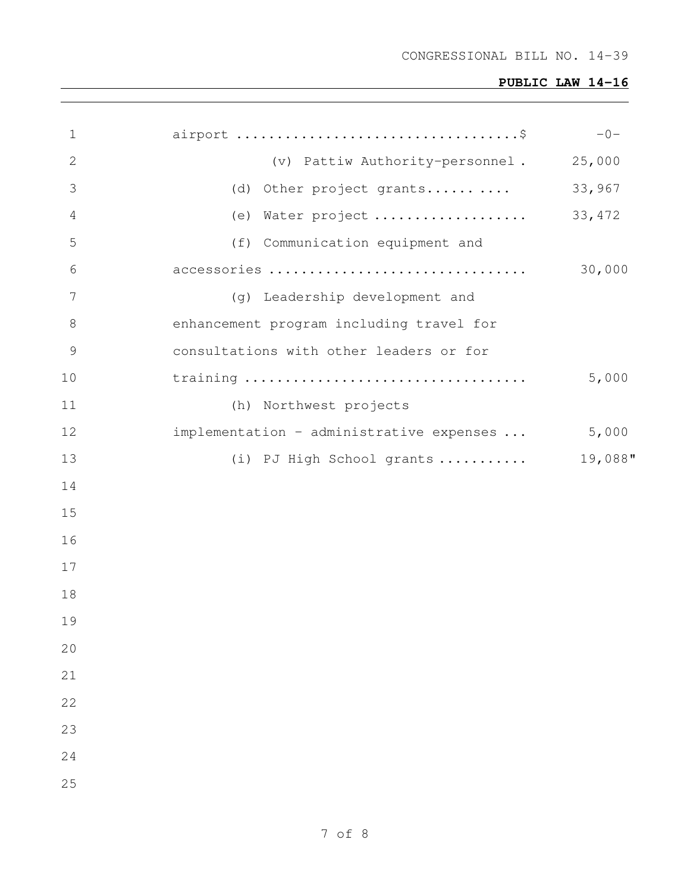| $\mathbf 1$    |                                          | $-0-$   |
|----------------|------------------------------------------|---------|
| $\mathbf{2}$   | (v) Pattiw Authority-personnel.          | 25,000  |
| 3              | (d) Other project grants                 | 33,967  |
| 4              | (e) Water project                        | 33, 472 |
| 5              | (f) Communication equipment and          |         |
| 6              | accessories                              | 30,000  |
| 7              | (g) Leadership development and           |         |
| 8              | enhancement program including travel for |         |
| $\overline{9}$ | consultations with other leaders or for  |         |
| 10             |                                          | 5,000   |
| 11             | (h) Northwest projects                   |         |
| 12             | implementation - administrative expenses | 5,000   |
| 13             | (i) PJ High School grants                | 19,088" |
| 14             |                                          |         |
| 15             |                                          |         |
| 16             |                                          |         |
| 17             |                                          |         |
| 18             |                                          |         |
| 19             |                                          |         |
| 20             |                                          |         |
| 21             |                                          |         |
| 22             |                                          |         |
| 23             |                                          |         |
| 24             |                                          |         |
| 25             |                                          |         |